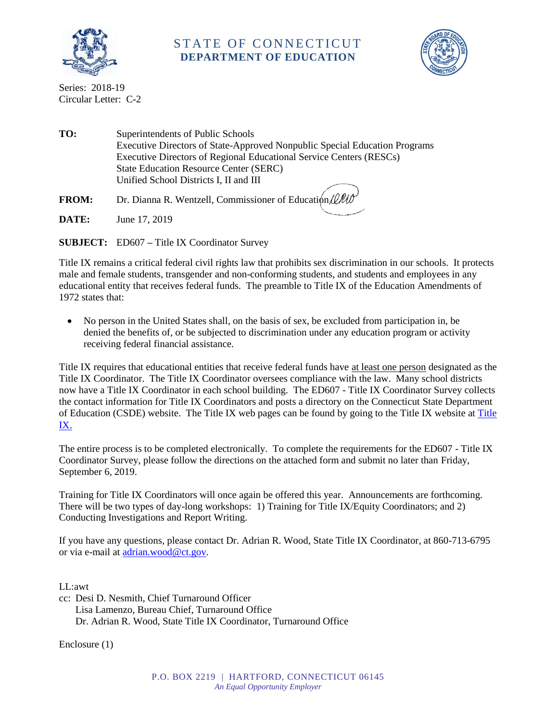

## STATE OF CONNECTICUT **DEPARTMENT OF EDUCATION**



Series: 2018-19 Circular Letter: C-2

**TO:** Superintendents of Public Schools Executive Directors of State-Approved Nonpublic Special Education Programs Executive Directors of Regional Educational Service Centers (RESCs) State Education Resource Center (SERC) Unified School Districts I, II and III **FROM:** Dr. Dianna R. Wentzell, Commissioner of Education (LA

**DATE:** June 17, 2019

**SUBJECT:** ED607 **–** Title IX Coordinator Survey

Title IX remains a critical federal civil rights law that prohibits sex discrimination in our schools. It protects male and female students, transgender and non-conforming students, and students and employees in any educational entity that receives federal funds. The preamble to Title IX of the Education Amendments of 1972 states that:

 No person in the United States shall, on the basis of sex, be excluded from participation in, be denied the benefits of, or be subjected to discrimination under any education program or activity receiving federal financial assistance.

Title IX requires that educational entities that receive federal funds have at least one person designated as the Title IX Coordinator. The Title IX Coordinator oversees compliance with the law. Many school districts now have a Title IX Coordinator in each school building. The ED607 - Title IX Coordinator Survey collects the contact information for Title IX Coordinators and posts a directory on the Connecticut State Department of Education (CSDE) website. The Title IX web pages can be found by going to the Title IX website at [Title](https://portal.ct.gov/SDE/Title-IX/Title-IX---Gender-Equity-and-Sexual-Harassment)  [IX](https://portal.ct.gov/SDE/Title-IX/Title-IX---Gender-Equity-and-Sexual-Harassment).

The entire process is to be completed electronically. To complete the requirements for the ED607 - Title IX Coordinator Survey, please follow the directions on the attached form and submit no later than Friday, September 6, 2019.

Training for Title IX Coordinators will once again be offered this year. Announcements are forthcoming. There will be two types of day-long workshops: 1) Training for Title IX/Equity Coordinators; and 2) Conducting Investigations and Report Writing.

If you have any questions, please contact Dr. Adrian R. Wood, State Title IX Coordinator, at 860-713-6795 or via e-mail at [adrian.wood@ct.gov.](mailto:adrian.wood@ct.gov)

LL:awt

cc: Desi D. Nesmith, Chief Turnaround Officer Lisa Lamenzo, Bureau Chief, Turnaround Office Dr. Adrian R. Wood, State Title IX Coordinator, Turnaround Office

Enclosure (1)